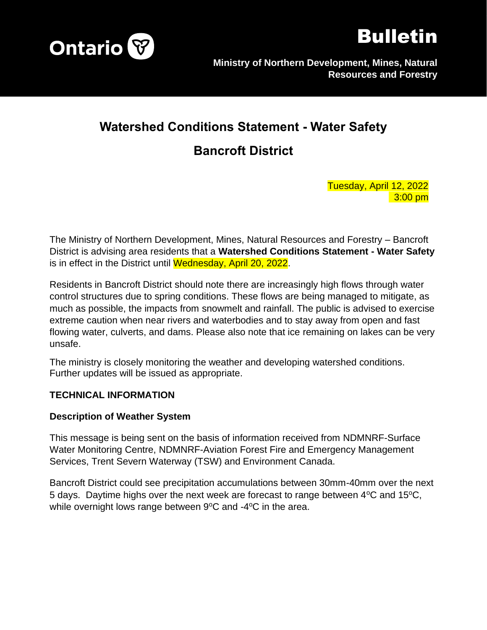



# **Watershed Conditions Statement - Water Safety**

## **Bancroft District**

Tuesday, April 12, 2022 3:00 pm

The Ministry of Northern Development, Mines, Natural Resources and Forestry – Bancroft District is advising area residents that a **Watershed Conditions Statement - Water Safety** is in effect in the District until Wednesday, April 20, 2022.

Residents in Bancroft District should note there are increasingly high flows through water control structures due to spring conditions. These flows are being managed to mitigate, as much as possible, the impacts from snowmelt and rainfall. The public is advised to exercise extreme caution when near rivers and waterbodies and to stay away from open and fast flowing water, culverts, and dams. Please also note that ice remaining on lakes can be very unsafe.

The ministry is closely monitoring the weather and developing watershed conditions. Further updates will be issued as appropriate.

#### **TECHNICAL INFORMATION**

#### **Description of Weather System**

This message is being sent on the basis of information received from NDMNRF-Surface Water Monitoring Centre, NDMNRF-Aviation Forest Fire and Emergency Management Services, Trent Severn Waterway (TSW) and Environment Canada.

Bancroft District could see precipitation accumulations between 30mm-40mm over the next 5 days. Daytime highs over the next week are forecast to range between  $4^{\circ}$ C and  $15^{\circ}$ C, while overnight lows range between  $9^{\circ}$ C and -4 $^{\circ}$ C in the area.